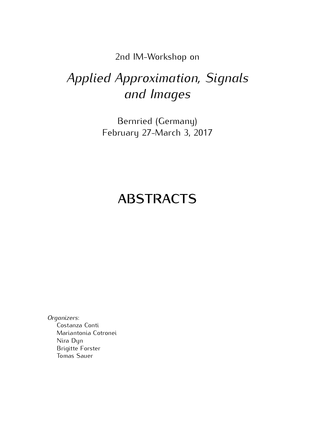2nd IM-Workshop on

# *Applied Approximation, Signals and Images*

Bernried (Germany)  $\frac{1}{2}$   $\frac{1}{2}$   $\frac{1}{2}$   $\frac{1}{2}$   $\frac{1}{2}$   $\frac{1}{2}$   $\frac{1}{2}$   $\frac{1}{2}$   $\frac{1}{2}$   $\frac{1}{2}$   $\frac{1}{2}$   $\frac{1}{2}$   $\frac{1}{2}$   $\frac{1}{2}$   $\frac{1}{2}$   $\frac{1}{2}$   $\frac{1}{2}$   $\frac{1}{2}$   $\frac{1}{2}$   $\frac{1}{2}$   $\frac{1}{2}$   $\frac{1}{2}$ 

# **ABSTRACTS**

*Organizers*: Mariantonia Cotronei Nira Dyn **Brigitte Forster Tomas Sauer** Tomas Sauer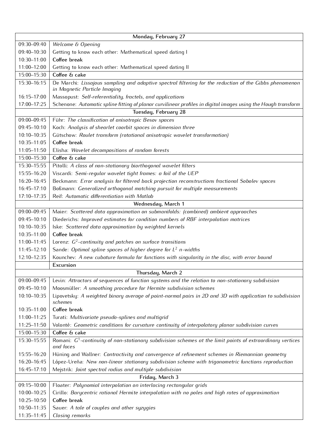| 09:30-09:40<br>Welcome & Opening<br>Getting to know each other: Mathematical speed dating I<br>09:40-10:30                                             |
|--------------------------------------------------------------------------------------------------------------------------------------------------------|
|                                                                                                                                                        |
|                                                                                                                                                        |
| Coffee break<br>10:30-11:00                                                                                                                            |
| 11:00-12:00<br>Getting to know each other: Mathematical speed dating II                                                                                |
| Coffee & cake<br>15:00-15:30                                                                                                                           |
| De Marchi: Lissajous sampling and adaptive spectral filtering for the reduction of the Gibbs phenomenon<br>15:30-16:15<br>in Magnetic Particle Imaging |
| Massopust: Self-referentiality, fractels, and applications<br>$16:15 - 17:00$                                                                          |
| 17:00-17:25<br>Schenone: Automatic spline fitting of planar curvilinear profiles in digital images using the Hough transform                           |
| Tuesday, February 28                                                                                                                                   |
| 09:00-09:45<br>Führ: The classification of anisotropic Besov spaces                                                                                    |
| 09:45-10:10<br>Koch: Analysis of shearlet coorbit spaces in dimension three                                                                            |
| Gütschow: Roulet transform (rotational anisotropic wavelet transformation)<br>10:10-10:35                                                              |
| 10:35-11:05<br>Coffee break                                                                                                                            |
| 11:05-11:50<br>Elisha: Wavelet decompositions of random forests                                                                                        |
| Coffee & cake<br>15:00-15:30                                                                                                                           |
| 15:30-15:55<br>Pitolli: A class of non-stationary biorthogonal wavelet filters                                                                         |
| Viscardi: Semi-regular wavelet tight frames: a fail of the UEP<br>15:55-16:20                                                                          |
| 16:20-16:45<br>Beckmann: Error analysis for filtered back projection reconstructions fractional Sobolev spaces                                         |
| 16:45-17:10<br>Boßmann: Generalized orthogonal matching pursuit for multiple measurements                                                              |
| 17:10-17:35<br>Reif: Automatic differentiation with Matlab                                                                                             |
| Wednesday, March 1                                                                                                                                     |
| 09:00-09:45<br>Maier: Scattered data approximation on submanifolds: (combined) ambient approaches                                                      |
| 09:45-10:10<br>Diederichs: Improved estimates for condition numbers of RBF interpolation matrices                                                      |
| Iske: Scattered data approximation by weighted kernels<br>10:10-10:35                                                                                  |
| Coffee break<br>10:35-11:00                                                                                                                            |
| Lorenz: $G^2$ -continuity and patches on surface transitions<br>11:00-11:45                                                                            |
| Sande: Optimal spline spaces of higher degree for $L^2$ n-widths<br>11:45-12:10                                                                        |
| 12:10-12:35<br>Kounchev: A new cubature formula for functions with singularity in the disc, with error bound                                           |
| Excursion                                                                                                                                              |
| Thursday, March 2                                                                                                                                      |
| 09:00-09:45<br>Levin: Attractors of sequences of function systems and the relation to non-stationary subdivision                                       |
| 09:45-10:10<br>Moosmüller: A smoothing procedure for Hermite subdivision schemes                                                                       |
| 10:10-10:35<br>Lipovetsky: A weighted binary average of point-normal pairs in 2D and 3D with application to subdivision<br>schemes                     |
| Coffee break<br>10:35-11:00                                                                                                                            |
| 11:00-11:25<br>Turati: Multivariate pseudo-splines and multigrid                                                                                       |
| 11:25-11:50<br>Volontè: Geometric conditions for curvature continuity of interpolatory planar subdivision curves                                       |
| 15:00-15:30<br>Coffee & cake                                                                                                                           |
| Romani: $G1$ -continuity of non-stationary subdivision schemes at the limit points of extraordinary vertices<br>15:30-15:55<br>and faces               |
| 15:55-16:20<br>Hüning and Wallner: Contractivity and convergence of refinement schemes in Riemannian geometry                                          |
| López-Ureña: New non-linear stationary subdivision scheme with trigonometric functions reproduction<br>16:20-16:45                                     |
| 16:45-17:10<br>Mejstrik: Joint spectral radius and multiple subdivision                                                                                |
| Friday, March 3                                                                                                                                        |
| 09:15-10:00<br>Floater: Polynomial interpolation on interlacing rectangular qrids                                                                      |
| Cirillo: Barycentric rational Hermite interpolation with no poles and high rates of approximation<br>10:00-10:25                                       |
| Coffee break<br>10:25-10:50                                                                                                                            |
| 10:50-11:35<br>Sauer: A tale of couples and other syzygies                                                                                             |
| 11:35-11:45<br>Closing remarks                                                                                                                         |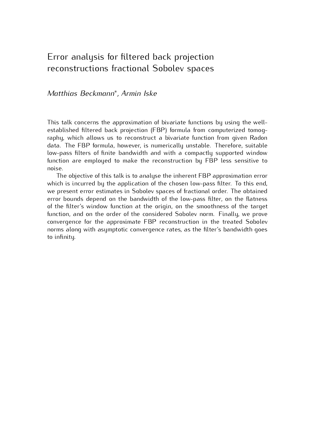# Error analysis for filtered back projection reconstructions fractional Sobolev spaces

## *Matthias Beckmann<sup>∗</sup> , Armin Iske*

This talk concerns the approximation of bivariate functions by using the well-<br>established filtered back projection (FBP) formula from computerized tomoqraphy, which allows us to reconstruct a bivariate function from given Radon data. The FBP formula, however, is numerically unstable. Therefore, suitable low-pass filters of finite bandwidth and with a compactly supported window low-pass filters of finite sanamatic and with a compactly supported window function are employed to make the reconstruction by FBP less sensitive to noise.<br>The objective of this talk is to analyse the inherent FBP approximation error

which is incurred by the application of the chosen low-pass filter. To this end, we present error estimates in Sobolev spaces of fractional order. The obtained error bounds depend on the bandwidth of the low-pass filter, on the flatness of the filter's window function at the origin, on the smoothness of the target function, and on the order of the considered Sobolev norm. Finally, we prove convergence for the approximate FBP reconstruction in the treated Sobolev convergence for the approximate PBP reconstruction in the treated Sobotev norms along with asymptotic convergence rates, as the filter's bandwidth goes to infinity.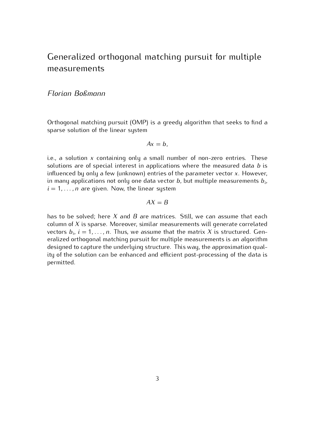# Generalized orthogonal matching pursuit for multiple measurements

### *Florian Boßmann*

Orthogonal matching pursuit (OMP) is a greedy algorithm that seeks to find a sparse solution of the linear system

$$
Ax=b,
$$

i.e., a solution *<sup>x</sup>* containing only a small number of non-zero entries. These solutions are of special interest in applications where the measured data *<sup>b</sup>* is influenced by only a few (unknown) entries of the parameter vector *<sup>x</sup>*. However, in many applications not only one data vector *b*, but multiple measurements  $b_i$ ,  $i = 1$  $i = 1, \ldots, n$  are given. Now, the linear system

#### $AX = B$

has to be solved; here *<sup>X</sup>* and *<sup>B</sup>* are matrices. Still, we can assume that each column of *<sup>X</sup>* is sparse. Moreover, similar measurements will generate correlated vectors  $b_i$ ,  $i = 1, \ldots, n$ . Thus, we assume that the matrix  $X$  is structured. Gen-<br>eralized erthogonal matching pursuit for multiple measurements is an algorithm eralized orthogonal matching pursuit for multiple measurements is an algorithm<br>designed to capture the underlying structure. This way, the approximation gualaccigned to capture the underlying structure. This hag, the approximation quality of the solution can be enhanced and efficient post-processing of the data is permitted.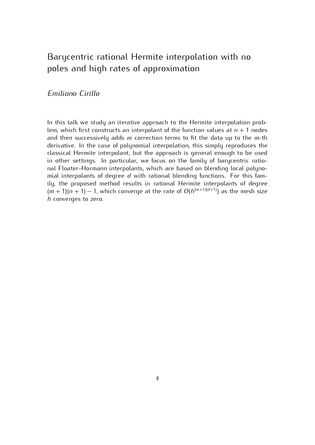## Barycentric rational Hermite interpolation with no poles and high rates of approximation

### *Emiliano Cirillo*

In this talk we study an iterative approach to the Hermite interpolation prob-<br>lem, which first constructs an interpolant of the function values at  $n + 1$  nodes<br>and then successively adds m correction terms to fit the dat and then successively adds *<sup>m</sup>* correction terms to fit the data up to the *<sup>m</sup>*-th classical Hermite interpolant, but the approach is general enough to be used in other settings. In particular, we focus on the family of barycentric rational Floater-Hormann interpolants, which are based on blending local polynonal Floater–Hormann interpolants, milion are based on blending fused polyno-<br>mial interpolants of degree *d* with rational blending functions. For this fam- $(m + 1)(n + 1) - 1$ , which converge at the rate of  $O(h^{(m+1)(d+1)})$  as the mesh size *h* converges to zero. *<sup>h</sup>* converges to zero.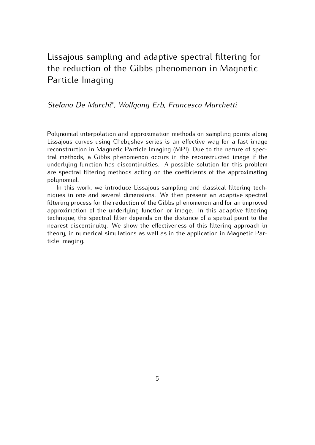## Lissajous sampling and adaptive spectral filtering for the reduction of the Gibbs phenomenon in Magnetic Particle Imaging

## *Stefano De Marchi<sup>∗</sup> , Wolfgang Erb, Francesco Marchetti*

Polynomial interpolation and approximation methods on sampling points along reconstruction in Magnetic Particle Imaging (MPI). Due to the nature of spectral methods, a Gibbs phenomenon occurs in the reconstructed image if the underlying function has discontinuities. A possible solution for this problem anderiging function has discontinuated. A possible solution for this problem are spectral filtering methods acting on the coefficients of the approximating polynomial.<br>In this work, we introduce Lissajous sampling and classical filtering tech-

niques in one and several dimensions. We then present an adaptive spectral filtering process for the reduction of the Gibbs phenomenon and for an improved approximation of the underlying function or image. In this adaptive filtering technique, the spectral filter depends on the distance of a spatial point to the nearest discontinuity. We show the effectiveness of this filtering approach in nearest assommang. We show the effectiveness of this fittering approach in theory, in numerical simulations as well as in the application in Magnetic Particle Imaging.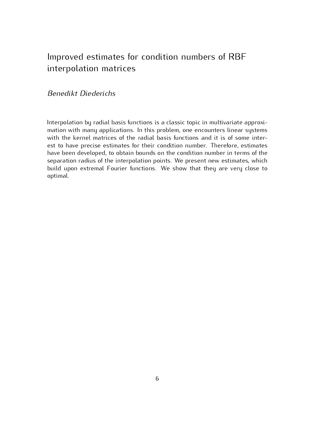# Improved estimates for condition numbers of RBF interpolation matrices

### *Benedikt Diederichs*

Interpolation by radial basis functions is a classic topic in multivariate approximation with many applications. In this problem, one encounters linear systems with the kernel matrices of the radial basis functions and it is of some interest to have precise estimates for their condition number. Therefore, estimates have been developed, to obtain bounds on the condition number in terms of the separation radius of the interpolation points. We present new estimates, which separation radius of the interpolation points. We present new estimates, which build upon extremal Fourier functions. We show that they are very close to optimal.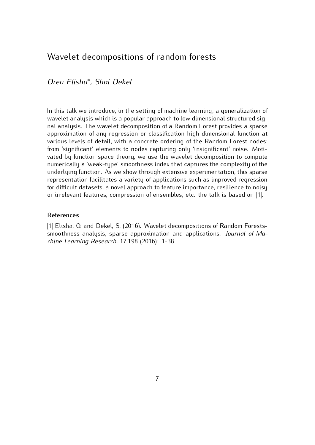## Wavelet decompositions of random forests

*Oren Elisha<sup>∗</sup> , Shai Dekel*

In this talk we introduce, in the setting of machine learning, a generalization of wavelet analysis which is a popular approach to low dimensional structured signal analysis. The wavelet decomposition of a Random Forest provides a sparse approximation of any regression or classification high dimensional function at various levels of detail, with a concrete ordering of the Random Forest nodes: from 'significant' elements to nodes capturing only 'insignificant' noise. Motivated by function space theory, we use the wavelet decomposition to compute numerically a 'weak-type' smoothness index that captures the complexity of the underlying function. As we show through extensive experimentation, this sparse representation facilitates a variety of applications such as improved regression for difficult datasets, a novel approach to feature importance, resilience to noisy for difficult datasets, a novel approach to feature importance, resilience to noisy or irrelevant features, compression of ensembles, etc. the talk is based on [1].

#### **References**

smoothness analysis, sparse approximation and applications. *Journal of Ma-*<br>china Learning Pesearch 17,108 (2016): 1,38 *chine Learning Research*, 17.198 (2016): 1-38.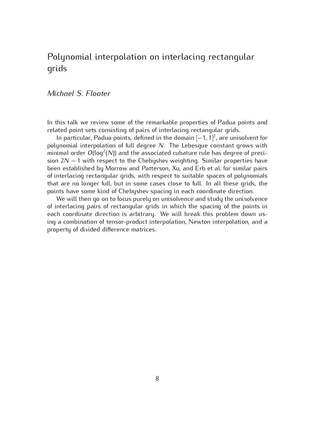## Polynomial interpolation on interlacing rectangular grids

### *Michael S. Floater*

In this talk we review some of the remarkable properties of Padua points and related point sets consisting of pairs of interlacing rectangular grids.

*n* particular, Padua points, defined in the domain [−1, 1]<sup>2</sup>, are unis polynomial internalation of full docree  $N$ . The Lebesgue constant g  $m$  particularly closed points, defined the demand  $\left[\begin{array}{c} 1,1,1 \end{array}\right]$ , are discovered for polynomial interpolation of full degree *N*. The Lebesgue constant grows with minimal order *O*(log<sup>2</sup>(N)) and the associated cubature rule has degree of preci-<br>sion 2N – 1 with respect to the Chebushov weighting. Similar preparties have sion 2*N* − 1 with respect to the Chebyshev weighting. Similar properties have been established by Morrow and Patterson, Xu, and Erb et al. for similar pairs of interlacing rectangular grids, with respect to suitable spaces of polynomials that are no longer full, but in some cases close to full. In all these grids, the points have some kind of Chebyshev spacing in each coordinate direction.

We will then go on to focus purely on unisolvence and study the unisolvence of interlacing pairs of rectangular grids in which the spacing of the points in each coordinate direction is arbitrary. We will break this problem down using a combination of tensor-product interpolation, Newton interpolation, and a ing a combination of tensor-product interpolation, Newton interpolation, and a property of divided difference matrices.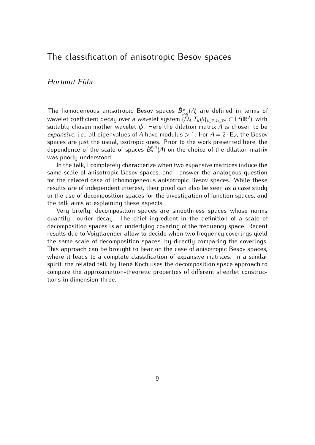## The classification of anisotropic Besov spaces

### *Hartmut F¨uhr*

The homogeneous anisotropic Besov spaces  $\dot{B}^{\alpha}_{p,q}(A)$  are defined in terms of variable confisient decay even a variable custom  $(D, \mathcal{F}, \psi)$ wavelet coefficient decay over a wavelet system  $(D_{\mathcal{A}}^j T_k \psi)_{j \in \mathbb{Z}, k \in \mathbb{Z}^d} \subset L^2(\mathbb{R}^d)$ *university doesnipped a indiced by submanity A is chosen to be expensive i.e.* all eigenvalues of *A* have modulus  $\geq$  1. For *A* = 2. E, the Besov *expansive*, i.e., all eigenvalues of *A* have modulus  $> 1$ . For  $A = 2 \cdot E_d$ , the Besov spaces are just the usual, isotropic ones. Prior to the work presented here, the between the gradition of the scale, isotropic ones. Prior to the work presented here, the dependence of the scale of spaces  $B^{\rho,q}_{\alpha}(A)$  on the choice of the dilation matrix was poorly understood.<br>In the talk, I completely characterize when two expansive matrices induce the

same scale of anisotropic Besov spaces, and I answer the analogous question for the related case of inhomogeneous anisotropic Besov spaces. While these results are of independent interest, their proof can also be seen as a case study in the use of decomposition spaces for the investigation of function spaces, and the talk aims at explaining these aspects.

Very briefly, decomposition spaces are smoothness spaces whose norms quantify Fourier decay. The chief ingredient in the definition of a scale of decomposition spaces is an underlying covering of the frequency space. Recent results due to Voigtlaender allow to decide when two frequency coverings yield the same scale of decomposition spaces, by directly comparing the coverings. This approach can be brought to bear on the case of anisotropic Besov spaces, where it leads to a complete classification of expansive matrices. In a similar spirit, the related talk by René Koch uses the decomposition space approach to compare the approximation-theoretic properties of different shearlet construccompare the approximation-theoretic properties of different shearlet constructions in dimension three.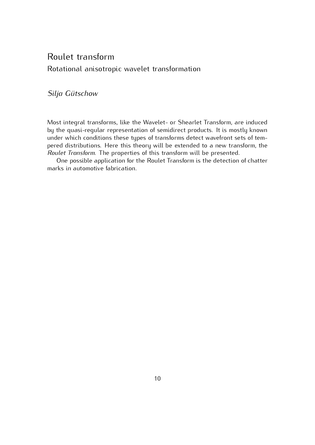## Roulet transform Rotational anisotropic wavelet transformation

## Silja Gütschow

Most integral transforms, like the Wavelet- or Shearlet Transform, are induced<br>by the quasi-regular representation of semidirect products. It is mostly known under which conditions these types of transforms detect wavefront sets of tempered distributions. Here this theory will be extended to a new transform, the perce distributions. The properties of this transform will be presented.<br>*Roulet Transform*. The properties of this transform will be presented.

One possible application for the Roulet Transform is the detection of chatter marks in automotive fabrication.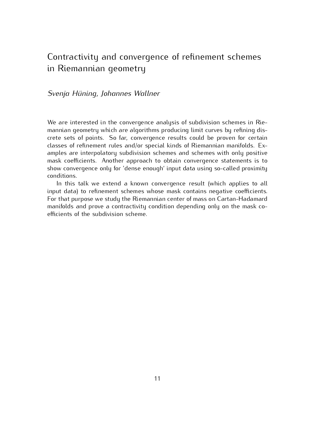## Contractivity and convergence of refinement schemes in Riemannian geometry

### *Svenja H¨uning, Johannes Wallner*

We are interested in the convergence analysis of subdivision schemes in Rie-<br>mannian geometry which are algorithms producing limit curves by refining discrete sets of points. So far, convergence results could be proven for certain classes of refinement rules and/or special kinds of Riemannian manifolds. Examples are interpolatory subdivision schemes and schemes with only positive mask coefficients. Another approach to obtain convergence statements is to mask coefficients. Another approach to obtain convergence statements is to show convergence only for 'dense enough' input data using so-called proximity conditions.<br>In this talk we extend a known convergence result (which applies to all

input data) to refinement schemes whose mask contains negative coefficients. For that purpose we study the Riemannian center of mass on Cartan-Hadamard manifolds and prove a contractivity condition depending only on the mask coefficients of the subdivision scheme. efficients of the subdivision scheme.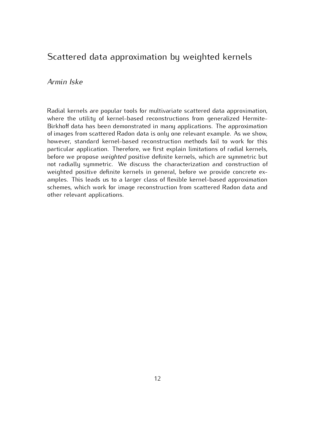## Scattered data approximation by weighted kernels

#### *Armin Iske*

Radial kernels are popular tools for multivariate scattered data approximation,<br>where the utility of kernel-based reconstructions from generalized Hermite-Birkhoff data has been demonstrated in many applications. The approximation of images from scattered Radon data is only one relevant example. As we show, however, standard kernel-based reconstruction methods fail to work for this particular application. Therefore, we first explain limitations of radial kernels, particular application. Therefore, we first explain limitations of radial normers,<br>before we propose *weighted* positive definite kernels, which are symmetric but not radially symmetric. We discuss the characterization and construction of weighted positive definite kernels in general, before we provide concrete examples. This leads us to a larger class of flexible kernel-based approximation schemes, which work for image reconstruction from scattered Radon data and schemes, which work for image reconstruction from scattered Radon data and other relevant applications.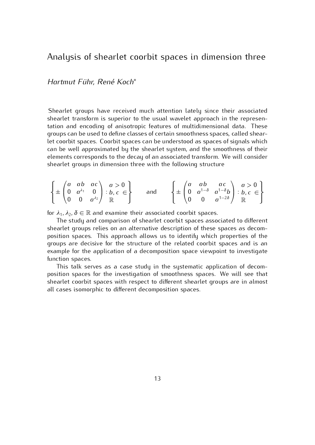## Analysis of shearlet coorbit spaces in dimension three

*Hartmut F¨uhr, Ren´e Koch<sup>∗</sup>*

Shearlet groups have received much attention lately since their associated shearlet transform is superior to the usual wavelet approach in the representation and encoding of anisotropic features of multidimensional data. These groups can be used to define classes of certain smoothness spaces, called shearlet coorbit spaces. Coorbit spaces can be understood as spaces of signals which can be well approximated by the shearlet system, and the smoothness of their elements corresponds to the decay of an associated transform. We will consider elements corresponds to the decay of an associated transform. We will consider shearlet groups in dimension three with the following structure

$$
\left\{\pm\begin{pmatrix}a & ab & ac \\ 0 & a^{\lambda_1} & 0 \\ 0 & 0 & a^{\lambda_2}\end{pmatrix} : b, c \in \right\} \text{ and } \left\{\pm\begin{pmatrix}a & ab & ac \\ 0 & a^{1-\delta} & a^{1-\delta}b \\ 0 & 0 & a^{1-2\delta}\end{pmatrix} : b, c \in \right\}
$$

for  $λ_1$ ,  $λ_2$ ,  $δ ∈ ℝ$  and examine their associated coorbit spaces.<br>The study and comparison of shearlet coorbit spaces associated to different shearlet groups relies on an alternative description of these spaces as decomposition spaces. This approach allows us to identify which properties of the groups are decisive for the structure of the related coorbit spaces and is an groups are decisive for the structure of the related coorbit spaces and is an example for the application of a decomposition space viewpoint to investigate function spaces.<br>This talk serves as a case study in the systematic application of decom-

position spaces for the investigation of smoothness spaces. We will see that shearlet coorbit spaces with respect to different shearlet groups are in almost shearlet coorbit spaces with respect to almost chearlet groups are in almost all cases isomorphic to different decomposition spaces.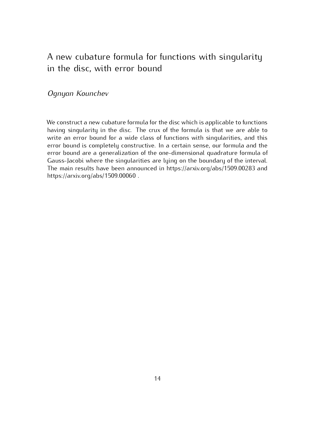# A new capature formula for functions with singularity in the disc, with error bound

## *Ognyan Kounchev*

We construct a new cubature formula for the disc which is applicable to functions having singularity in the disc. The crux of the formula is that we are able to write an error bound for a wide class of functions with singularities, and this error bound is completely constructive. In a certain sense, our formula and the error bound are a generalization of the one-dimensional quadrature formula of Gauss-Jacobi where the singularities are lying on the boundary of the interval. The main results have been announced in https://arxiv.org/abs/1509.00283 and The main results have been announced in https://arxiv.org/abs/1509.00283 and  $m$ ps://arxiv.org/abs/1509.000000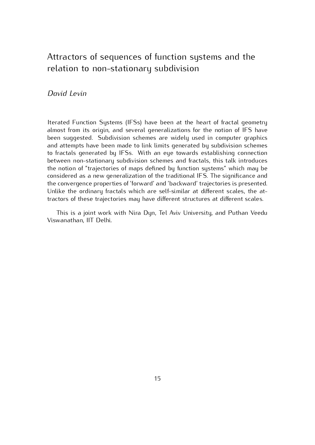# Attractors of sequences of function systems and the relation to non-stationary subdivision

### *David Levin*

Iterated Function Systems (IFSs) have been at the heart of fractal geometry almost from its origin, and several generalizations for the notion of IFS have been suggested. Subdivision schemes are widely used in computer graphics and attempts have been made to link limits generated by subdivision schemes to fractals generated by IFSs. With an eye towards establishing connection between non-stationary subdivision schemes and fractals, this talk introduces the notion of "trajectories of maps defined by function systems" which may be considered as a new generalization of the traditional IFS. The significance and the convergence properties of 'forward' and 'backward' trajectories is presented. Unlike the ordinary fractals which are self-similar at different scales, the at-Unificative the ordinary massime throm are self-similar at different scales, the attractors of these trajectories may have different structures at different scales.

This is a joint work with Nira Dyn, Tel Aviv University, and Puthan Veedu  $\sum$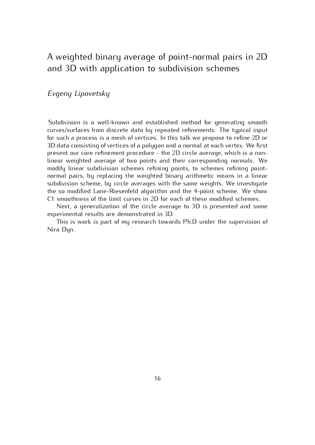## A weighted binary average of point-normal pairs in 2D and 3D with application to subdivision schemes

### *Evgeny Lipovetsky*

Subdivision is a well-known and established method for generating smooth curves/surfaces from discrete data by repeated refinements. The typical input for such a process is a mesh of vertices. In this talk we propose to refine 2D or 3D data consisting of vertices of a polygon and a normal at each vertex. We first present our core refinement procedure - the 2D circle average, which is a nonlinear weighted average of two points and their corresponding normals. We modify linear subdivision schemes refining points, to schemes refining pointnormal pairs, by replacing the weighted binary arithmetic means in a linear subdivision scheme, by circle averages with the same weights. We investigate the so modified Lane-Riesenfeld algorithm and the 4-point scheme. We show C1 smoothness of the limit curves in 2D for each of these modified schemes.

Next, a generalization of the circle average to 3D is presented and some experimental results are demonstrated in 3D.

experimental results are demonstrated in 3D. This is work is part of my research towards Ph.D under the supervision of Nira Dyn.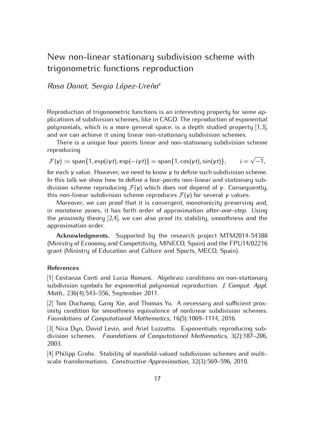# New non-linear stationary subdivision scheme with trigonometric functions reproduction

*Rosa Donat, Sergio L´opez-Ure˜na<sup>∗</sup>*

Reproduction of trigonometric functions is an interesting property for some appolynomials, which is a more general space, is a depth studied property  $[1,3]$ , and we can achieve it using linear non-stationary subdivision schemes.

and we can achieve it using uncarrier stationary subdivision. There is a unique four points linear and non-stationary subdivision scheme<br>reducing reproducing

$$
\mathcal{F}(\gamma) := \text{span}\{1, \exp(i\gamma t), \exp(-i\gamma t)\} = \text{span}\{1, \cos(\gamma t), \sin(\gamma t)\}, \qquad i = \sqrt{-1},
$$

for each *<sup>γ</sup>* value. However, we need to know *<sup>γ</sup>* to define such subdivision scheme. In this talk we show how to define a four-points non-linear and stationary sub-<br>division scheme reproducing *F*(*γ*) which does not depend of *γ*. Consequently, this non-linear subdivision scheme reproduces  $\mathcal{F}(\gamma)$  for several  $\gamma$  values.<br>Moreover, we can proof that it is convergent, monotonicity preserving and,

Individually the can proof that it is convergent, monotonicity preserving and,<br>in monotone zones, it has forth order of approximation *after-one-step*. Using<br>the *proximity* theory [2.4] we can also proof its stability smo the *proximity* theory [2,4], we can also proof its stability, smoothness and the approximation order.

**Acknowledgments.** Supported by the research project MTM2014-54388 (Ministry of Economy and Competitivity, MINECO, Spain) and the FPU14/02216 grant (Ministry of Education and Culture and Sports, MECD, Spain).

#### **References**

[1] Costanza Conti and Lucia Romani. Algebraic conditions on non-stationary subdivision symbols for exponential polynomial reproduction. *J. Comput. Appl. Math.*, 236(4):543–556, September 2011.<br>[2] Tom Duchamp, Gang Xie, and Thomas Yu. A necessary and sufficient prox-

imity condition for smoothness equivalence of nonlinear subdivision schemes. imity condition for smoothness equivalence of nonlinear subdivision schemes. *Foundations of Computational Mathematics*, 16(5):1069–1114, 2016.

[3] Nira Dyn, David Levin, and Ariel Luzzatto. Exponentials reproducing sub-division schemes. *Foundations of Computational Mathematics*, 3(2):187–206, 2003.<br>[4] Philipp Grohs. Stability of manifold-valued subdivision schemes and multi-

[4] Philipp Grohs. Stability of manifold-valued subdivision schemes and multi-scale transformations. *Constructive Approximation*, 32(3):569–596, 2010.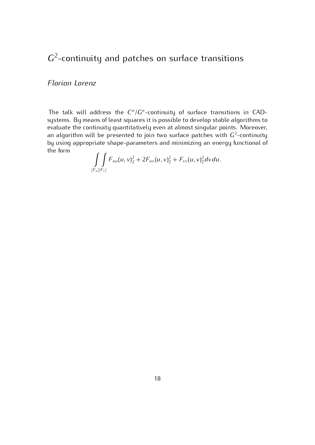### $G<sup>2</sup>$ -continuity and patches on surface transitions

#### *Florian Lorenz*

The talk will address the  $C^n/G^n$ systems. By means of least squares it is possible to develop stable algorithms to evaluate the continuity quantitatively even at almost singular points. Moreover, evaluate the continuity quantitatively even at almost singular points. Moreover,<br>an algorithm will be presented to join two surface patches with *G*<sup>2</sup>-continuity -continuity by using appropriate shape-parameters and minimizing an energy functional of the form  $\sim$ 

$$
\iint_{[F_u][F_v]} F_{uu}(u,v)^2_2 + 2F_{uv}(u,v)^2_2 + F_{vv}(u,v)^2_2 dvdu.
$$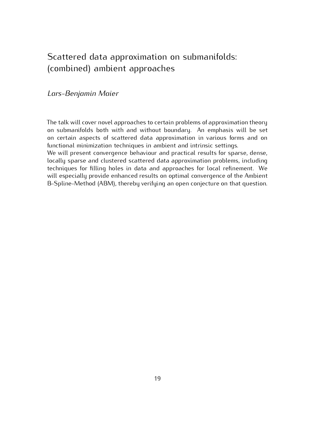# Scattered data approximation on submanifolds: (combined) ambient approaches

### *Lars-Benjamin Maier*

The talk will cover novel approaches to certain problems of approximation theory on submanifolds both with and without boundary. An emphasis will be set on certain aspects of scattered data approximation in various forms and on functional minimization techniques in ambient and intrinsic settings.

We will present convergence behaviour and practical results for sparse, dense, locally sparse and clustered scattered data approximation problems, including techniques for filling holes in data and approaches for local refinement. We will especially provide enhanced results on optimal convergence of the Ambient will especially provide enhanced results on optimal convergence of the Ambient B-Spline-Method (ABM), thereby verifying an open conjecture on that question.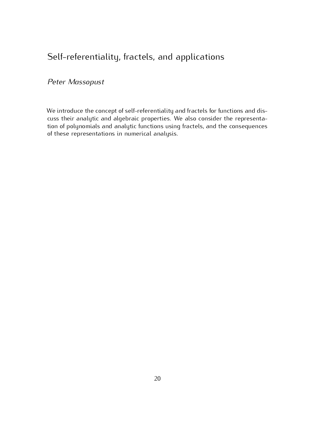## Self-referentiality, fractels, and applications

## *Peter Massopust*

We introduce the concept of self-referentiality and fractels for functions and dis-<br>cuss their analytic and algebraic properties. We also consider the representation of polynomials and analytic functions using fractels, and the consequences tion of polynomials and analytic functions using fractels, and the consequences of these representations in numerical analysis.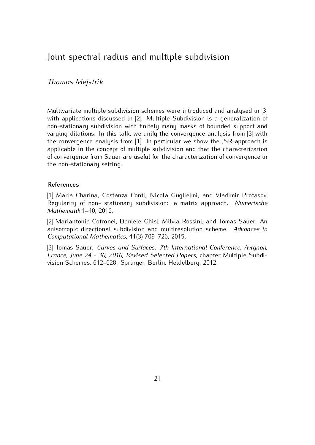## Joint spectral radius and multiple subdivision

### *Thomas Mejstrik*

Multivariate multiple subdivision schemes were introduced and analysed in [3]<br>with applications discussed in [2]. Multiple Subdivision is a generalization of non-stationary subdivision with finitely many masks of bounded support and varying dilations. In this talk, we unify the convergence analysis from [3] with the convergence analysis from  $[1]$ . In particular we show the JSR-approach is applicable in the concept of multiple subdivision and that the characterization applicable in the concept of mattiple subdivision and that the characterization of convergence from Sauer are useful for the characterization of convergence in the non-stationary setting.

#### **References**

[1] Maria Charina, Costanza Conti, Nicola Guglielmi, and Vladimir Protasov. Regularity of non- stationary subdivision: a matrix approach. *Numerische Mathematik*,1–40, 2016.

[2] Mariantonia Cotronei, Daniele Ghisi, Milvia Rossini, and Tomas Sauer. An anisotropic directional subdivision and multiresolution scheme. *Advances in Computational Mathematics*, 41(3):709–726, 2015.

[3] Tomas Sauer. *Curves and Surfaces: 7th International Conference, Avignon, France, June 24 - 30, 2010, Revised Selected Papers*, chapter Multiple Subdivision Schemes, 612–628. Springer, Berlin, Heidelberg, 2012.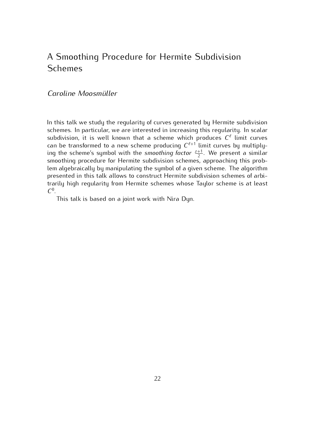# A Smoothing Procedure for Hermite Subdivision Schemes

### *Caroline Moosm¨uller*

In this talk we study the regularity of curves generated by Hermite subdivision<br>schemes. In particular, we are interested in increasing this regularity. In scalar subdivision, it is well known that a scheme which produces  $C^{\ell}$  limit curves can be transformed to a new scheme producing  $C^{l+1}$  limit curves by multiply-<br>ing the scheme's sumbol with the smoothing factor  $z^{+1}$ . We present a similar ing the scheme's symbol with the *smoothing factor*  $\frac{z+1}{2}$ . We present a similar 2 . We present a similar lem algebraically by manipulating the symbol of a given scheme. The algorithm presented in this talk allows to construct Hermite subdivision schemes of arbipresented in this talk allows to construct Hermite subdivision schemes of arbi-<br>trariful bigh regularity from Hermite schemes whese Tayler scheme is at least trarily high regularity from Hermite schemes whose Taylor scheme is at least  $C^0$ .

This talk is based on a joint work with Nira Dyn.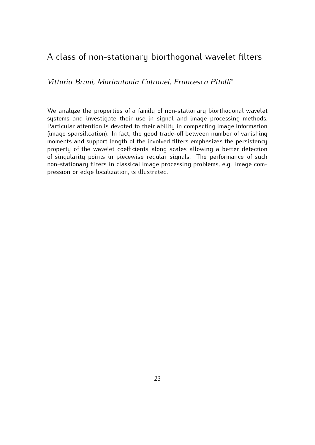## A class of non-stationary biorthogonal wavelet filters

*Vittoria Bruni, Mariantonia Cotronei, Francesca Pitolli<sup>∗</sup>*

We analyze the properties of a family of non-stationary biorthogonal wavelet systems and investigate their use in signal and image processing methods. Particular attention is devoted to their ability in compacting image information (image sparsification). In fact, the good trade-off between number of vanishing moments and support length of the involved filters emphasizes the persistency property of the wavelet coefficients along scales allowing a better detection of sinqularity points in piecewise reqular signals. The performance of such non-stationary filters in classical image processing problems, e.g. image comnon-stationary mere in classical image processing problems, e.g. image com-<br>processo or odgo localization is illustrated pression or edge localization, is illustrated.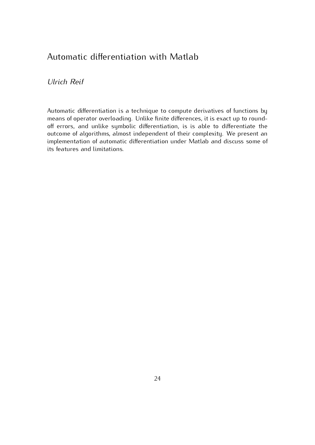# Automatic differentiation with Matlab

*Ulrich Reif*

Automatic differentiation is a technique to compute derivatives of functions by means of operator overloading. Unlike finite differences, it is exact up to roundoff errors, and unlike symbolic differentiation, is is able to differentiate the outcome of algorithms, almost independent of their complexity. We present an implementation of automatic differentiation under Matlab and discuss some of its features and limitations.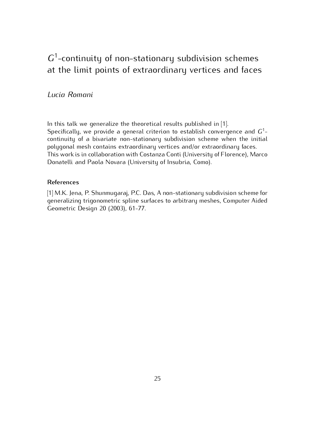## $G<sup>1</sup>$ -continuity of non-stationary subdivision schemes -continuity of non-stationary subdivision schemes at the limit points of extraordinary vertices and faces

### *Lucia Romani*

In this talk we generalize the theoretical results published in [1].<br>Specifically, we provide a general criterion to establish convergence and *G*<sup>1</sup> continuity of a bivariate non-stationary subdivision scheme when the initial polygonal mesh contains extraordinary vertices and/or extraordinary faces. This work is in collaboration with Costanza Conti (University of Florence), Marco This work is in collaboration with Costanza Conti (University of Florence), Marco<br>Departelli and Paela Nevara (University of Insuriria Ceme) Donatelli and Paola Novara (University of Insubria, Como).

#### **References**

[1] M.K. Jena, P. Shunmugaraj, P.C. Das, A non-stationary subdivision scheme for generalizing trigonometric spline surfaces to arbitrary meshes, Computer Aided generalizing trigonometric spline surfaces to arbitrary meshes, Computer Aided  $G = \frac{1}{2}$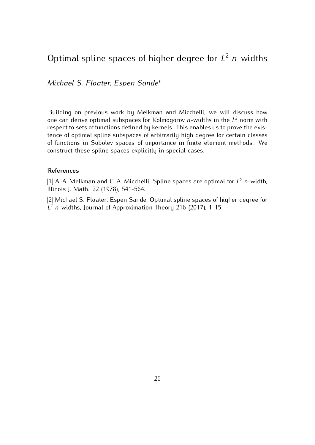# Optimal spline spaces of higher degree for *<sup>L</sup>* <sup>2</sup> *<sup>n</sup>*-widths

*Michael S. Floater, Espen Sande<sup>∗</sup>*

 $B$  and  $B$  on previous work by Melkman and Micchelli, we will discuss how<br>one can derive optimal subspaces for Kolmogorov *n*-widths in the  $L^2$  norm with respect to sets of functions defined by kernels. This enables us to prove the existence of optimal spline subspaces of arbitrarily high degree for certain classes of functions in Sobolev spaces of importance in finite element methods. We of functions in Sobolev spaces of importance in finite element methods. We construct these spline spaces explicitly in special cases.

#### **References**

[1] A. A. Melkman and C. A. Micchelli, Spline spaces are optimal for *<sup>L</sup>* <sup>2</sup> *<sup>n</sup>*-width, Illinois J. Math. 22 (1978), 541-564.<br>[2] Michael S. Floater, Espen Sande, Optimal spline spaces of higher degree for

[2] Michael S. Floater, Espen Sande, Optimal spline spaces of higher degree for *L* <sup>2</sup> *<sup>n</sup>*-widths, Journal of Approximation Theory 216 (2017), 1-15.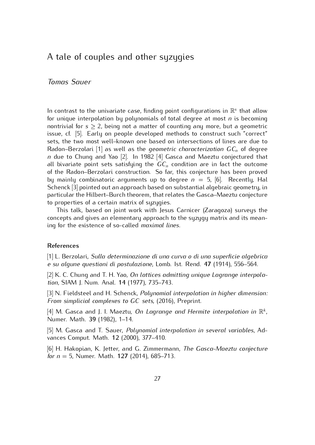## A tale of couples and other syzygies

### *Tomas Sauer*

In contrast to the univariate case, finding point configurations in <sup>R</sup> *s* for unique interpolation by polynomials of total degree at most *n* is becoming<br>nontrivial for  $s > 2$ , being not a matter of counting any more, but a geometric nontrivial for  $s \geq 2$ , being not a matter of counting any more, but a geometric issue, cf. [5]. Early on people developed methods to construct such "correct" sets, the two most well-known one based on intersections of lines are due to Radon–Berzolari  $[1]$  as well–as the *geometric characterization*  $GC_n$  of degree *<sup>n</sup>* due to Chung and Yao [2]. In 1982 [4] Gasca and Maeztu conjectured that all bivariate point sets satisfying the  $GC_n$  condition are in fact the outcome of the Radon–Berzolari construction. So far, this conjecture has been proved by mainly combinatoric arguments up to degree  $n = 5$ , [6]. Recently, Hall School:  $\frac{13!}{2!}$  pointed out an approach based on substantial algebraic geometry in Schenck [3] pointed out an approach based on substantial algebraic geometry, in to properties of a certain matrix of suzugies.

This talk, based on joint work with Jesus Carnicer (Zaragoza) surveys the concepts and gives an elementary approach to the syzygy matrix and its meanconcepts and gives an elementary approach to the syzygy matrix and its mean-ing for the existence of so-called *maximal lines*.

#### **References**

[1] L. Berzolari, *Sulla determinazione di una curva o di una superficie algebrica e su algune questioni di postulazione*, Lomb. Ist. Rend. **<sup>47</sup>** (1914), 556–564.

[2] K. C. Chung and T. H. Yao, *On lattices admitting unique Lagrange interpolation*, SIAM J. Num. Anal. **<sup>14</sup>** (1977), 735–743.

[3] N. Fieldsteel and H. Schenck, *Polynomial interpolation in higher dimension: From simplicial complexes to GC sets*, (2016), Preprint.

[4] M. Gasca and J. I. Maeztu, *On Lagrange and Hermite interpolation in* <sup>R</sup> *k* , Numer. Math. **<sup>39</sup>** (1982), 1–14.

[5] M. Gasca and T. Sauer, *Polynomial interpolation in several variables*, Advances Comput. Math. **<sup>12</sup>** (2000), 377–410.

[6] H. Hakopian, K. Jetter, and G. Zimmermann, *The Gasca-Maeztu conjecture for <sup>n</sup>* = 5, Numer. Math. **<sup>127</sup>** (2014), 685–713.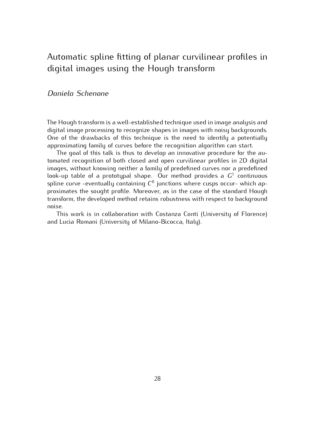## Automatic spline fitting of planar carritmear profiles in digital images using the Hough transform

### *Daniela Schenone*

The Hough transform is a well-established technique used in image analysis and One of the drawbacks of this technique is the need to identify a potentially approximating family of curves before the recognition algorithm can start.

The goal of this talk is thus to develop an innovative procedure for the automated recognition of both closed and open curvilinear profiles in 2D digital images, without knowing neither a family of predefined curves nor a predefined  $\frac{1}{2}$  family controlling neither a family of predefined curves nor a predefined<br>look-up table of a prototypal shape. Our method provides a  $G^1$  continuous spline curve -eventually containing  $C^0$  junctions where cusps occur- which approximates the sought profile. Mercover, as in the sase of the standard Hought proximates the sought profile. Moreover, as in the case of the standard Hough proximates the sought profile. Moreover, as in the case of the standard Hought transform, the developed method retains robustness with respect to background

This work is in collaboration with Costanza Conti (University of Florence) This work is in collaboration with Cooldinual Conti (Chineselly of Florence)<br>Hugia Pomani (Hniversity of Milano Bicocca, Italy) and Lucia Romani (University of Milano-Bicocca, Italy).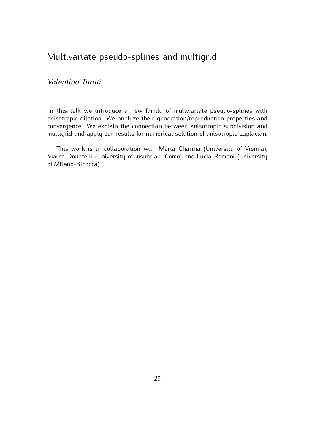## Multivariate pseudo-splines and multigrid

### *Valentina Turati*

In this talk we introduce a new family of multivariate pseudo-splines with anisotropic dilation. We analyze their generation/reproduction properties and convergence. We explain the connection between anisotropic subdivision and convergence. We explain the connection between anisotropic subdivision and multigrid and apply our results for numerical solution of anisotropic Laplacian.

This work is in collaboration with Maria Charina (Chirology of Nome<sub>l</sub>), Marco Donatelli (University of Insubria - Como) and Lucia Romani (University of Milano-Bicocca).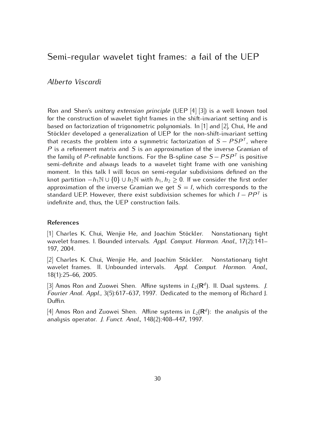## Semi-regular wavelet tight frames: a fail of the UEP

#### *Alberto Viscardi*

Ron and Shen's *unitary extension principle* (UEP [4] [3]) is a well known tool based on factorization of trigonometric polynomials. In  $[1]$  and  $[2]$ , Chui, He and Stöckler developed a generalization of UEP for the non-shift-invariant setting that recasts the problem into a symmetric factorization of  $S - PSP^T$ , where  $P$  is a refinement matrix and  $S$  is an approximation of the inverse Cramian of *P* is a refinement matrix and *S* is an approximation of the inverse Gramian of the family of *P* refinable functions. For the *B* spline case *S*  $PSP<sup>T</sup>$  is positive the family of *P*-refinable functions. For the B-spline case  $S - PSP^T$  is positive semi-definite and always leads to a wavelet tight frame with one vanishing moment. In this talk I will focus on semi-regular subdivisions defined on the knot partition  $-h_1\mathbb{N} \cup \{0\} \cup h_2\mathbb{N}$  with  $h_1, h_2 \geq 0$ . If we consider the first order<br>approximation of the inverse Gramian we get  $S - I$  which corresponds to the approximation of the inverse Gramian we get  $S = I$ , which corresponds to the standard UEP. However, there exist subdivision schemes for which *<sup>I</sup> <sup>−</sup> PP<sup>T</sup>* is indefinite and, thus, the UEP construction fails.

#### **References**

11<sub>1</sub> Charles K. Chai, Wenjie He, and Joachim Stechter. Nonstationary tight<br>wavelet frames. I. Bounded intervals. *Appl. Comput. Harmon. Anal.*, 17(2):141– 197, 2004.<br>[2] Charles K. Chui, Wenjie He, and Joachim Stöckler. Nonstationary tight

<sub>[2]</sub> Charles K. Chai, Wenjie He, and Joachim Steemen Themeditionary tight<br>wavelet frames. II. Unbounded intervals. *Appl. Comput. Harmon. Anal.*, 18(1):25–66, 2005.

[3] Amos Ron and Zuowei Shen. Affine systems in  $L_2(\mathbf{R}^d)$ . II. Dual systems. *J.*<br>Fourier Angl. Appl. 3(5):617, 637, 1007. Dodicated to the memory of Pichard L *Fourier Anal. Appl.*, 3(5):617–637, 1997. Dedicated to the memory of Richard J.  $5$  corrects.

[4] Amos Ron and Zuowei Shen. Affine systems in  $L_2(\mathbf{R}^d)$ <br>analysis operator, *L. Eunet, Angl. 148(2):4*08, 447, 1997 ): the analysis of the analysis operator. *J. Funct. Anal.*, 148(2):408–447, 1997.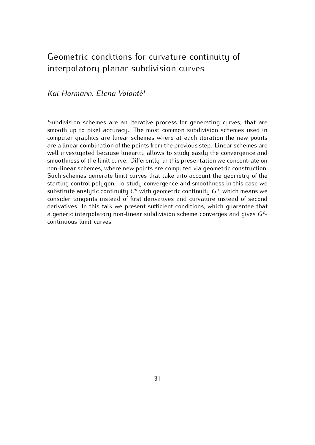# Geometric conditions for carrattere continuity of interpolatory planar subdivision curves

### *Kai Hormann, Elena Volont`e<sup>∗</sup>*

Subdivision schemes are an iterative process for generating curves, that are smooth up to pixel accuracy. The most common subdivision schemes used in computer graphics are linear schemes where at each iteration the new points are a linear combination of the points from the previous step. Linear schemes are well investigated because linearity allows to study easily the convergence and smoothness of the limit curve. Differently, in this presentation we concentrate on non-linear schemes, where new points are computed via geometric construction. Such schemes generate limit curves that take into account the geometry of the starting control polygon. To study convergence and smoothness in this case we substitute analytic continuity  $C^n$  with geometric continuity  $G^n$ , which means we concider tangents instead of first derivatives and survature instead of second consider tangents instead of first derivatives and curvature instead of second derivatives. In this talk we present sufficient conditions, which quarantee that derivatives. In this talk we present sufficient conditions, which guarantee that a generic interpolatory non-linear subdivision scheme converges and gives *<sup>G</sup>*<sup>2</sup> continuous limit curves.